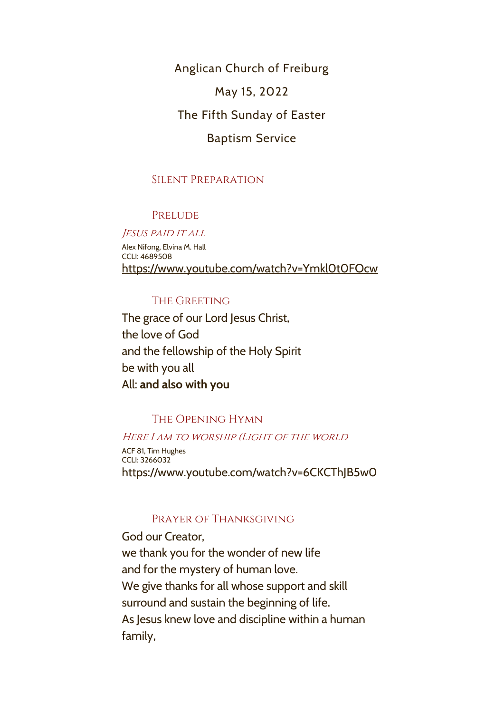Anglican Church of Freiburg May 15, 2022 The Fifth Sunday of Easter

# Baptism Service

## Silent Preparation

## **PRELUDE**

Jesus paid it all Alex Nifong, Elvina M. Hall CCLI: 4689508 <https://www.youtube.com/watch?v=Ymkl0t0FOcw>

## The Greeting

The grace of our Lord Jesus Christ, the love of God and the fellowship of the Holy Spirit be with you all All: **and also with you**

# The Opening Hymn

## HERE I AM TO WORSHIP (LIGHT OF THE WORLD

ACF 81, Tim Hughes CCLI: 3266032 <https://www.youtube.com/watch?v=6CKCThJB5w0>

## Prayer of Thanksgiving

God our Creator, we thank you for the wonder of new life and for the mystery of human love. We give thanks for all whose support and skill surround and sustain the beginning of life. As Jesus knew love and discipline within a human family,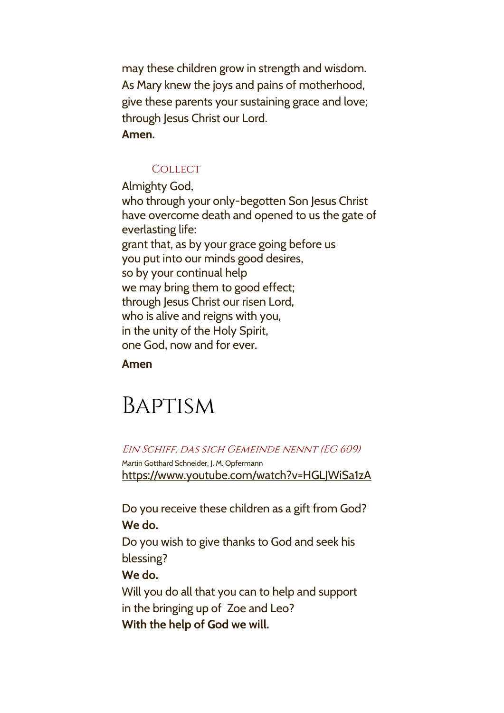may these children grow in strength and wisdom. As Mary knew the joys and pains of motherhood, give these parents your sustaining grace and love; through Jesus Christ our Lord. **Amen.**

## **COLLECT**

Almighty God, who through your only-begotten Son Jesus Christ have overcome death and opened to us the gate of everlasting life: grant that, as by your grace going before us you put into our minds good desires, so by your continual help we may bring them to good effect; through Jesus Christ our risen Lord, who is alive and reigns with you, in the unity of the Holy Spirit, one God, now and for ever.

**Amen**

# Baptism

Ein Schiff, das sich Gemeinde nennt (EG 609)

Martin Gotthard Schneider, J. M. Opfermann <https://www.youtube.com/watch?v=HGLJWiSa1zA>

Do you receive these children as a gift from God? **We do.**

Do you wish to give thanks to God and seek his blessing?

## **We do.**

Will you do all that you can to help and support in the bringing up of Zoe and Leo? **With the help of God we will.**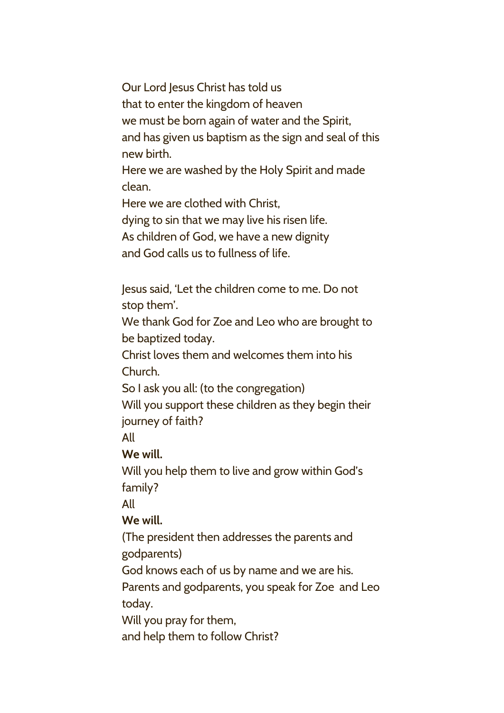Our Lord Jesus Christ has told us that to enter the kingdom of heaven we must be born again of water and the Spirit, and has given us baptism as the sign and seal of this new birth.

Here we are washed by the Holy Spirit and made clean.

Here we are clothed with Christ, dying to sin that we may live his risen life. As children of God, we have a new dignity and God calls us to fullness of life.

Jesus said, 'Let the children come to me. Do not stop them'.

We thank God for Zoe and Leo who are brought to be baptized today.

Christ loves them and welcomes them into his Church.

So I ask you all: (to the congregation)

Will you support these children as they begin their journey of faith?

All

**We will.**

Will you help them to live and grow within God's family?

All

# **We will.**

(The president then addresses the parents and godparents)

God knows each of us by name and we are his.

Parents and godparents, you speak for Zoe and Leo today.

Will you pray for them,

and help them to follow Christ?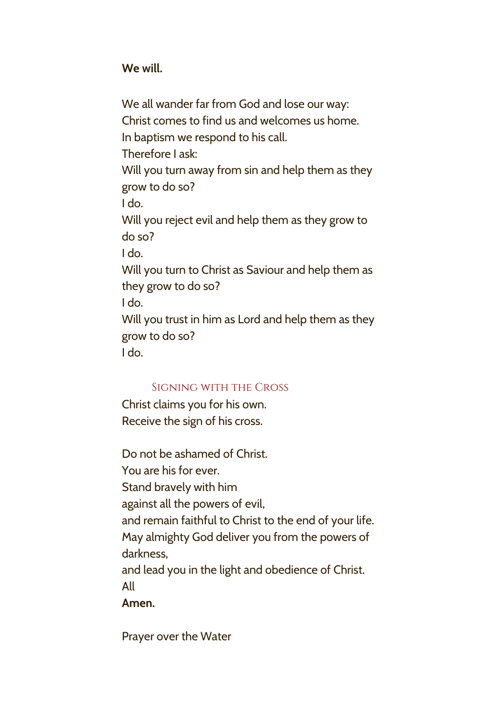**We will.**

We all wander far from God and lose our way: Christ comes to find us and welcomes us home. In baptism we respond to his call. Therefore I ask: Will you turn away from sin and help them as they grow to do so? I do. Will you reject evil and help them as they grow to do so? I do. Will you turn to Christ as Saviour and help them as they grow to do so? I do. Will you trust in him as Lord and help them as they grow to do so? I do.

# Signing with the Cross

Christ claims you for his own. Receive the sign of his cross.

Do not be ashamed of Christ. You are his for ever. Stand bravely with him against all the powers of evil, and remain faithful to Christ to the end of your life. May almighty God deliver you from the powers of darkness, and lead you in the light and obedience of Christ. All

# **Amen.**

Prayer over the Water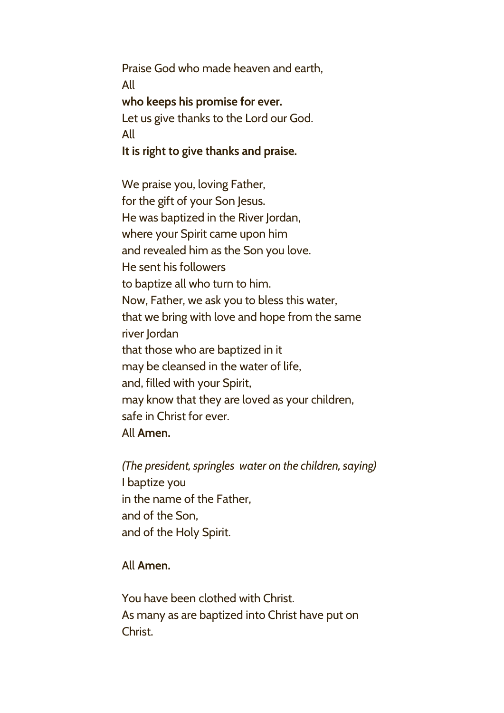Praise God who made heaven and earth, All **who keeps his promise for ever.** Let us give thanks to the Lord our God. All **It is right to give thanks and praise.**

We praise you, loving Father, for the gift of your Son Jesus. He was baptized in the River Jordan, where your Spirit came upon him and revealed him as the Son you love. He sent his followers to baptize all who turn to him. Now, Father, we ask you to bless this water, that we bring with love and hope from the same river Jordan that those who are baptized in it may be cleansed in the water of life, and, filled with your Spirit, may know that they are loved as your children, safe in Christ for ever. All **Amen.**

*(The president, springles water on the children, saying)* I baptize you in the name of the Father, and of the Son, and of the Holy Spirit.

## All **Amen.**

You have been clothed with Christ. As many as are baptized into Christ have put on Christ.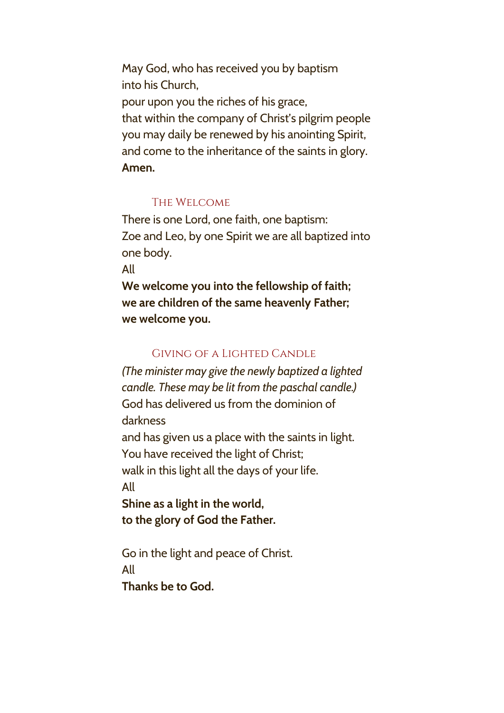May God, who has received you by baptism into his Church, pour upon you the riches of his grace, that within the company of Christ's pilgrim people you may daily be renewed by his anointing Spirit, and come to the inheritance of the saints in glory. **Amen.**

## The Welcome

There is one Lord, one faith, one baptism: Zoe and Leo, by one Spirit we are all baptized into one body.

All

**We welcome you into the fellowship of faith; we are children of the same heavenly Father; we welcome you.**

## Giving of a Lighted Candle

*(The minister may give the newly baptized a lighted candle. These may be lit from the paschal candle.)* God has delivered us from the dominion of darkness

and has given us a place with the saints in light. You have received the light of Christ; walk in this light all the days of your life.

All

**Shine as a light in the world, to the glory of God the Father.**

Go in the light and peace of Christ. All **Thanks be to God.**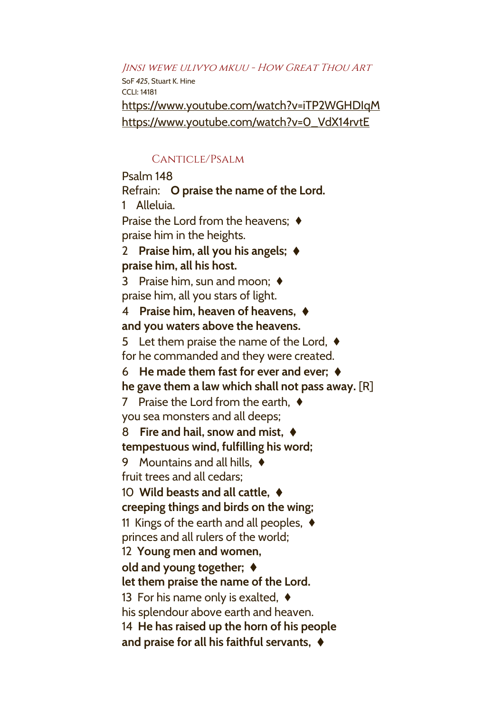Jinsi wewe ulivyo mkuu - How Great Thou Art SoF *425*, Stuart K. Hine CCLI: 14181 <https://www.youtube.com/watch?v=iTP2WGHDIqM> [https://www.youtube.com/watch?v=0\\_VdX14rvtE](https://www.youtube.com/watch?v=0_VdX14rvtE)

## Canticle/Psalm

Psalm 148

Refrain: **O praise the name of the Lord.**

1 Alleluia.

Praise the Lord from the heavens; ♦ praise him in the heights.

2 **Praise him, all you his angels;** ♦ **praise him, all his host.**

3 Praise him, sun and moon; ♦ praise him, all you stars of light.

## 4 **Praise him, heaven of heavens,** ♦ **and you waters above the heavens.**

5 Let them praise the name of the Lord, ♦ for he commanded and they were created.

6 **He made them fast for ever and ever;** ♦

**he gave them a law which shall not pass away.** [R]

7 Praise the Lord from the earth, ♦ you sea monsters and all deeps;

8 **Fire and hail, snow and mist,** ♦ **tempestuous wind, fulfilling his word;**

9 Mountains and all hills, ♦ fruit trees and all cedars;

# 10 **Wild beasts and all cattle,** ♦ **creeping things and birds on the wing;**

11 Kings of the earth and all peoples,  $\triangleleft$ 

princes and all rulers of the world;

12 **Young men and women,**

# **old and young together;** ♦

**let them praise the name of the Lord.**

13 For his name only is exalted,  $\triangleleft$ 

his splendour above earth and heaven.

14 **He has raised up the horn of his people**

**and praise for all his faithful servants,** ♦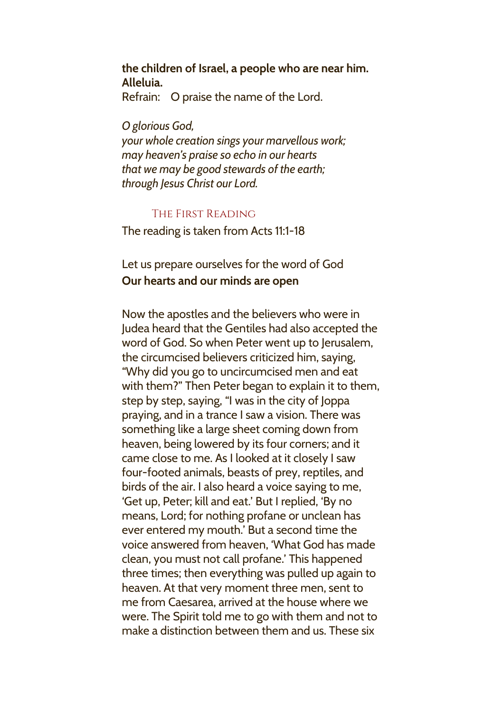## **the children of Israel, a people who are near him. Alleluia.**

Refrain: O praise the name of the Lord.

*O glorious God,*

*your whole creation sings your marvellous work; may heaven's praise so echo in our hearts that we may be good stewards of the earth; through Jesus Christ our Lord.*

## The First Reading

The reading is taken from Acts 11:1-18

# Let us prepare ourselves for the word of God **Our hearts and our minds are open**

Now the apostles and the believers who were in Judea heard that the Gentiles had also accepted the word of God. So when Peter went up to Jerusalem, the circumcised believers criticized him, saying, "Why did you go to uncircumcised men and eat with them?" Then Peter began to explain it to them, step by step, saying, "I was in the city of Joppa praying, and in a trance I saw a vision. There was something like a large sheet coming down from heaven, being lowered by its four corners; and it came close to me. As I looked at it closely I saw four-footed animals, beasts of prey, reptiles, and birds of the air. I also heard a voice saying to me, 'Get up, Peter; kill and eat.' But I replied, 'By no means, Lord; for nothing profane or unclean has ever entered my mouth.' But a second time the voice answered from heaven, 'What God has made clean, you must not call profane.' This happened three times; then everything was pulled up again to heaven. At that very moment three men, sent to me from Caesarea, arrived at the house where we were. The Spirit told me to go with them and not to make a distinction between them and us. These six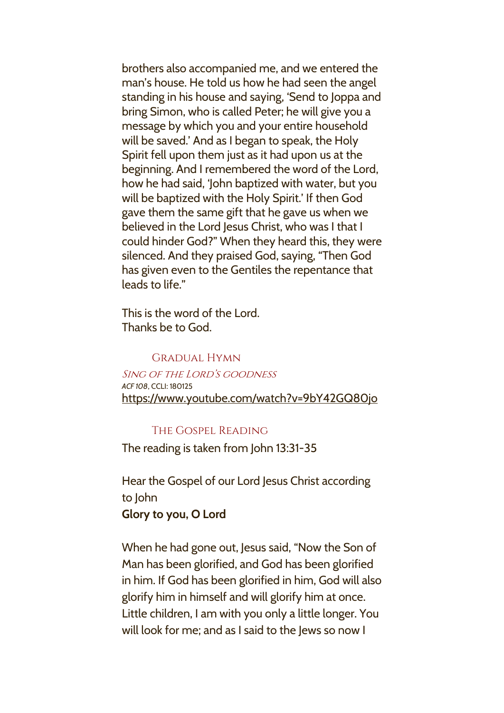brothers also accompanied me, and we entered the man's house. He told us how he had seen the angel standing in his house and saying, 'Send to Joppa and bring Simon, who is called Peter; he will give you a message by which you and your entire household will be saved.' And as I began to speak, the Holy Spirit fell upon them just as it had upon us at the beginning. And I remembered the word of the Lord, how he had said, 'John baptized with water, but you will be baptized with the Holy Spirit.' If then God gave them the same gift that he gave us when we believed in the Lord Jesus Christ, who was I that I could hinder God?" When they heard this, they were silenced. And they praised God, saying, "Then God has given even to the Gentiles the repentance that leads to life."

This is the word of the Lord. Thanks be to God.

#### Gradual Hymn

Sing of the Lord's goodness *ACF 108*, CCLI: 180125 <https://www.youtube.com/watch?v=9bY42GQ80jo>

#### The Gospel Reading

The reading is taken from John 13:31-35

Hear the Gospel of our Lord Jesus Christ according to John **Glory to you, O Lord**

When he had gone out, Jesus said, "Now the Son of Man has been glorified, and God has been glorified in him. If God has been glorified in him, God will also glorify him in himself and will glorify him at once. Little children, I am with you only a little longer. You will look for me; and as I said to the Jews so now I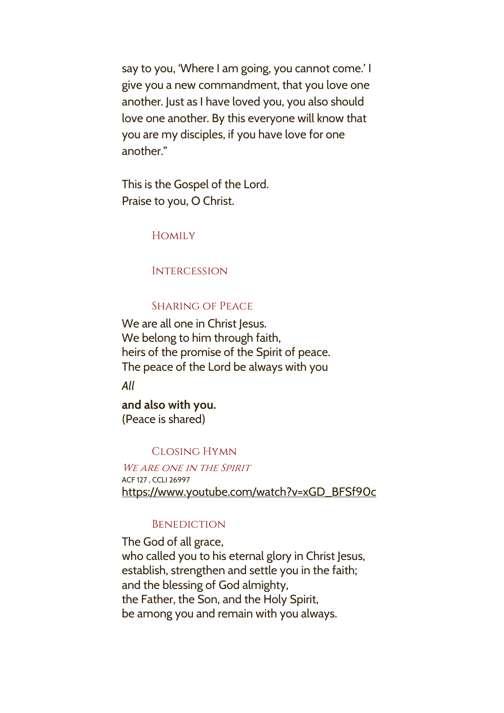say to you, 'Where I am going, you cannot come.' I give you a new commandment, that you love one another. Just as I have loved you, you also should love one another. By this everyone will know that you are my disciples, if you have love for one another."

This is the Gospel of the Lord. Praise to you, O Christ.

**HOMILY** 

**INTERCESSION** 

## Sharing of Peace

We are all one in Christ Jesus. We belong to him through faith, heirs of the promise of the Spirit of peace. The peace of the Lord be always with you

*All*

**and also with you.** (Peace is shared)

#### Closing Hymn

WE ARE ONE IN THE SPIRIT ACF 127 , CCLI 26997 [https://www.youtube.com/watch?v=xGD\\_BFSf90c](https://www.youtube.com/watch?v=xGD_BFSf90c)

#### **BENEDICTION**

The God of all grace, who called you to his eternal glory in Christ Jesus, establish, strengthen and settle you in the faith; and the blessing of God almighty, the Father, the Son, and the Holy Spirit, be among you and remain with you always.